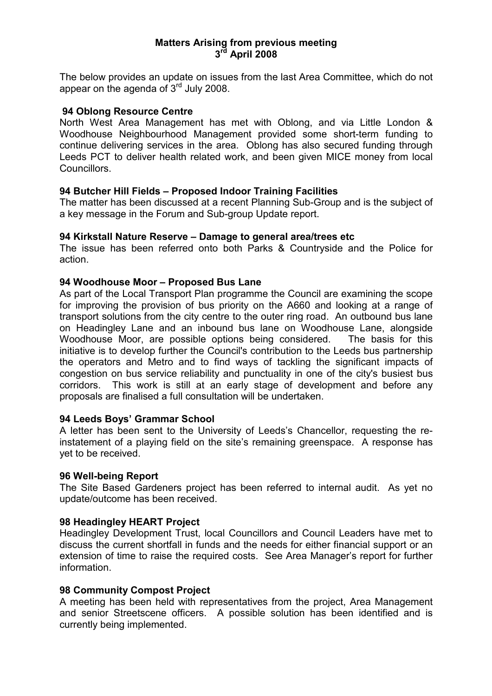## Matters Arising from previous meeting 3<sup>rd</sup> April 2008

The below provides an update on issues from the last Area Committee, which do not appear on the agenda of  $3<sup>rd</sup>$  July 2008.

### 94 Oblong Resource Centre

North West Area Management has met with Oblong, and via Little London & Woodhouse Neighbourhood Management provided some short-term funding to continue delivering services in the area. Oblong has also secured funding through Leeds PCT to deliver health related work, and been given MICE money from local Councillors.

## 94 Butcher Hill Fields – Proposed Indoor Training Facilities

The matter has been discussed at a recent Planning Sub-Group and is the subject of a key message in the Forum and Sub-group Update report.

### 94 Kirkstall Nature Reserve – Damage to general area/trees etc

The issue has been referred onto both Parks & Countryside and the Police for action.

### 94 Woodhouse Moor – Proposed Bus Lane

As part of the Local Transport Plan programme the Council are examining the scope for improving the provision of bus priority on the A660 and looking at a range of transport solutions from the city centre to the outer ring road. An outbound bus lane on Headingley Lane and an inbound bus lane on Woodhouse Lane, alongside Woodhouse Moor, are possible options being considered. The basis for this initiative is to develop further the Council's contribution to the Leeds bus partnership the operators and Metro and to find ways of tackling the significant impacts of congestion on bus service reliability and punctuality in one of the city's busiest bus corridors. This work is still at an early stage of development and before any proposals are finalised a full consultation will be undertaken.

#### 94 Leeds Boys' Grammar School

A letter has been sent to the University of Leeds's Chancellor, requesting the reinstatement of a playing field on the site's remaining greenspace. A response has yet to be received.

#### 96 Well-being Report

The Site Based Gardeners project has been referred to internal audit. As yet no update/outcome has been received.

#### 98 Headingley HEART Project

Headingley Development Trust, local Councillors and Council Leaders have met to discuss the current shortfall in funds and the needs for either financial support or an extension of time to raise the required costs. See Area Manager's report for further information.

## 98 Community Compost Project

A meeting has been held with representatives from the project, Area Management and senior Streetscene officers. A possible solution has been identified and is currently being implemented.